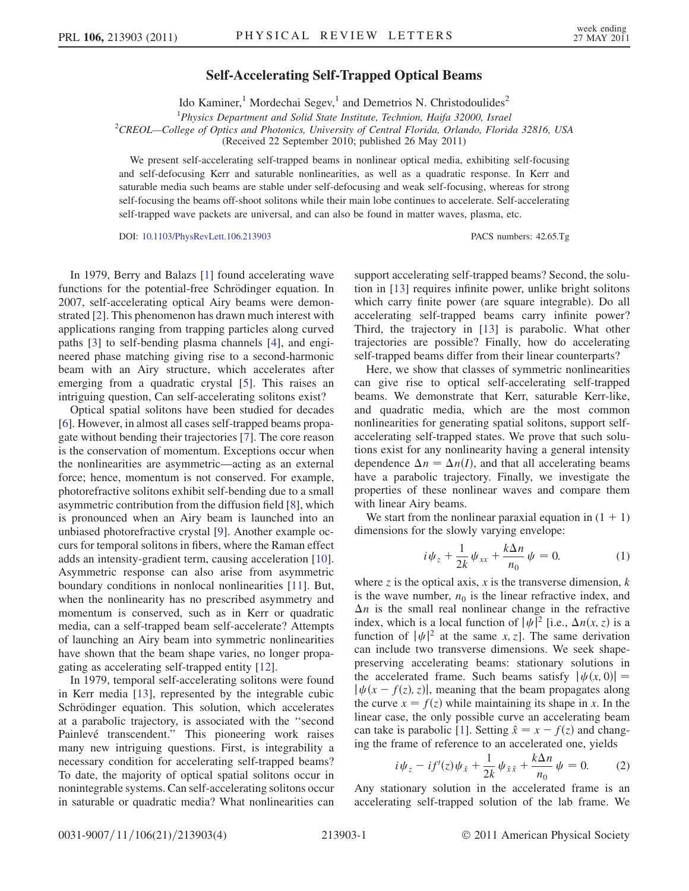## Self-Accelerating Self-Trapped Optical Beams

Ido Kaminer,<sup>1</sup> Mordechai Segev,<sup>1</sup> and Demetrios N. Christodoulides<sup>2</sup>

<sup>1</sup>Physics Department and Solid State Institute, Technion, Haifa 32000, Israel

<sup>1</sup>Physics Department and Solid State Institute, Technion, Haifa 32000, Israel<br><sup>2</sup>CREOL—College of Optics and Photonics, University of Central Florida, Orlando, Florida 32816, USA (Received 22 September 2010; published 26 May 2011)

We present self-accelerating self-trapped beams in nonlinear optical media, exhibiting self-focusing and self-defocusing Kerr and saturable nonlinearities, as well as a quadratic response. In Kerr and saturable media such beams are stable under self-defocusing and weak self-focusing, whereas for strong self-focusing the beams off-shoot solitons while their main lobe continues to accelerate. Self-accelerating self-trapped wave packets are universal, and can also be found in matter waves, plasma, etc.

DOI: [10.1103/PhysRevLett.106.213903](http://dx.doi.org/10.1103/PhysRevLett.106.213903) PACS numbers: 42.65.Tg

In 1979, Berry and Balazs [\[1\]](#page-3-0) found accelerating wave functions for the potential-free Schrödinger equation. In 2007, self-accelerating optical Airy beams were demonstrated [\[2\]](#page-3-1). This phenomenon has drawn much interest with applications ranging from trapping particles along curved paths [[3\]](#page-3-2) to self-bending plasma channels [[4](#page-3-3)], and engineered phase matching giving rise to a second-harmonic beam with an Airy structure, which accelerates after emerging from a quadratic crystal [[5](#page-3-4)]. This raises an intriguing question, Can self-accelerating solitons exist?

Optical spatial solitons have been studied for decades [\[6\]](#page-3-5). However, in almost all cases self-trapped beams propagate without bending their trajectories [[7\]](#page-3-6). The core reason is the conservation of momentum. Exceptions occur when the nonlinearities are asymmetric—acting as an external force; hence, momentum is not conserved. For example, photorefractive solitons exhibit self-bending due to a small asymmetric contribution from the diffusion field [[8](#page-3-7)], which is pronounced when an Airy beam is launched into an unbiased photorefractive crystal [\[9\]](#page-3-8). Another example occurs for temporal solitons in fibers, where the Raman effect adds an intensity-gradient term, causing acceleration [[10\]](#page-3-9). Asymmetric response can also arise from asymmetric boundary conditions in nonlocal nonlinearities [[11](#page-3-10)]. But, when the nonlinearity has no prescribed asymmetry and momentum is conserved, such as in Kerr or quadratic media, can a self-trapped beam self-accelerate? Attempts of launching an Airy beam into symmetric nonlinearities have shown that the beam shape varies, no longer propagating as accelerating self-trapped entity [\[12\]](#page-3-11).

In 1979, temporal self-accelerating solitons were found in Kerr media [[13](#page-3-12)], represented by the integrable cubic Schrödinger equation. This solution, which accelerates at a parabolic trajectory, is associated with the ''second Painlevé transcendent." This pioneering work raises many new intriguing questions. First, is integrability a necessary condition for accelerating self-trapped beams? To date, the majority of optical spatial solitons occur in nonintegrable systems. Can self-accelerating solitons occur in saturable or quadratic media? What nonlinearities can support accelerating self-trapped beams? Second, the solution in [[13](#page-3-12)] requires infinite power, unlike bright solitons which carry finite power (are square integrable). Do all accelerating self-trapped beams carry infinite power? Third, the trajectory in [\[13\]](#page-3-12) is parabolic. What other trajectories are possible? Finally, how do accelerating self-trapped beams differ from their linear counterparts?

Here, we show that classes of symmetric nonlinearities can give rise to optical self-accelerating self-trapped beams. We demonstrate that Kerr, saturable Kerr-like, and quadratic media, which are the most common nonlinearities for generating spatial solitons, support selfaccelerating self-trapped states. We prove that such solutions exist for any nonlinearity having a general intensity dependence  $\Delta n = \Delta n(I)$ , and that all accelerating beams have a parabolic trajectory. Finally, we investigate the properties of these nonlinear waves and compare them with linear Airy beams.

<span id="page-0-1"></span>We start from the nonlinear paraxial equation in  $(1 + 1)$ dimensions for the slowly varying envelope:

$$
i\psi_z + \frac{1}{2k}\psi_{xx} + \frac{k\Delta n}{n_0}\psi = 0.
$$
 (1)

where z is the optical axis, x is the transverse dimension,  $k$ is the wave number,  $n_0$  is the linear refractive index, and  $\Delta n$  is the small real nonlinear change in the refractive index, which is a local function of  $|\psi|^2$  [i.e.,  $\Delta n(x, z)$  is a function of  $|\psi|^2$  at the same x z.]. The same derivation function of  $|\psi|^2$  at the same x, z]. The same derivation can include two transverse dimensions. We seek shapepreserving accelerating beams: stationary solutions in the accelerated frame. Such beams satisfy  $|\psi(x, 0)| =$  $|\psi(x - f(z), z)|$ , meaning that the beam propagates along the curve  $x = f(z)$  while maintaining its shape in x. In the linear case, the only possible curve an accelerating beam can take is parabolic [\[1\]](#page-3-0). Setting  $\hat{x} = x - f(z)$  and changing the frame of reference to an accelerated one, yields

<span id="page-0-0"></span>
$$
i\psi_z - if'(z)\psi_{\hat{x}} + \frac{1}{2k}\psi_{\hat{x}\hat{x}} + \frac{k\Delta n}{n_0}\psi = 0.
$$
 (2)  
Any stationary solution in the accelerated frame is an

accelerating self-trapped solution of the lab frame. We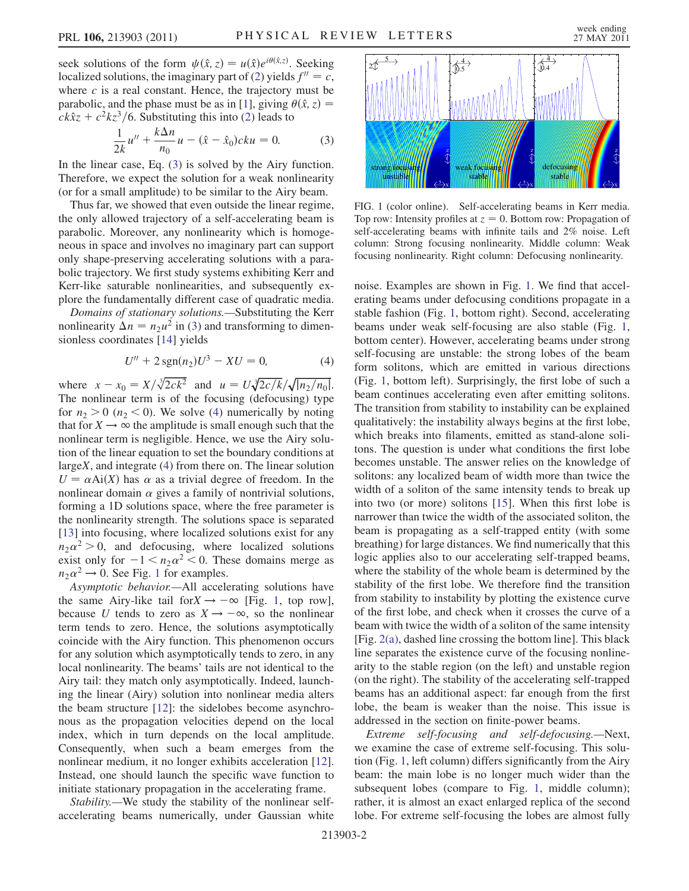seek solutions of the form  $\psi(\hat{x}, z) = u(\hat{x})e^{i\theta(\hat{x}, z)}$ . Seeking<br>localized solutions the imaginary part of (2) yields  $f'' = c$ . localized solutions, the imaginary part of [\(2\)](#page-0-0) yields  $f'' = c$ , where  $c$  is a real constant. Hence, the trajectory must be parabolic, and the phase must be as in [[1](#page-3-0)], giving  $\theta(\hat{x}, z) =$  $ck\hat{x}z + c^2kz^3/6$  $ck\hat{x}z + c^2kz^3/6$  $ck\hat{x}z + c^2kz^3/6$ . Substituting this into (2) leads to

$$
\frac{1}{2k}u'' + \frac{k\Delta n}{n_0}u - (\hat{x} - \hat{x}_0)cku = 0.
$$
 (3)

<span id="page-1-0"></span>2k<sup>a</sup>  $n_0$  is solved by the Airy function. Therefore, we expect the solution for a weak nonlinearity (or for a small amplitude) to be similar to the Airy beam.

Thus far, we showed that even outside the linear regime, the only allowed trajectory of a self-accelerating beam is parabolic. Moreover, any nonlinearity which is homogeneous in space and involves no imaginary part can support only shape-preserving accelerating solutions with a parabolic trajectory. We first study systems exhibiting Kerr and Kerr-like saturable nonlinearities, and subsequently explore the fundamentally different case of quadratic media.

Domains of stationary solutions.—Substituting the Kerr nonlinearity  $\Delta n = n_2 u^2$  in [\(3\)](#page-1-0) and transforming to dimensionless coordinates [[14](#page-3-13)] yields

$$
U'' + 2\operatorname{sgn}(n_2)U^3 - XU = 0,\tag{4}
$$

<span id="page-1-1"></span>where  $x - x_0 = X/\sqrt[3]{2ck^2}$  and  $u = U\sqrt[3]{2c/k}$ <br>The nonlinear term is of the focusing (defocus)  $\sqrt[3]{2c/k}/\sqrt{|n_2/n_0|}$ .<br>(defecusing) type The nonlinear term is of the focusing (defocusing) type for  $n_2 > 0$  ( $n_2 < 0$ ). We solve [\(4\)](#page-1-1) numerically by noting that for  $X \rightarrow \infty$  the amplitude is small enough such that the nonlinear term is negligible. Hence, we use the Airy solution of the linear equation to set the boundary conditions at largeX, and integrate [\(4\)](#page-1-1) from there on. The linear solution  $U = \alpha Ai(X)$  has  $\alpha$  as a trivial degree of freedom. In the nonlinear domain  $\alpha$  gives a family of nontrivial solutions nonlinear domain  $\alpha$  gives a family of nontrivial solutions, forming a 1D solutions space, where the free parameter is the nonlinearity strength. The solutions space is separated [\[13\]](#page-3-12) into focusing, where localized solutions exist for any  $n_2\alpha^2 > 0$ , and defocusing, where localized solutions<br>exist only for  $-1 \le n_2\alpha^2 \le 0$  These domains merge as exist only for  $-1 < n_2 \alpha^2 < 0$ . These domains merge as  $n_2 \alpha^2 \rightarrow 0$ . See Fig. 1 for examples  $n_2 \alpha^2 \rightarrow 0$ . See Fig. [1](#page-1-2) for examples.<br>Asymptotic hehavior—All accele

Asymptotic behavior.—All accelerating solutions have the same Airy-like tail for  $X \rightarrow -\infty$  [Fig. [1](#page-1-2), top row], because U tends to zero as  $X \rightarrow -\infty$ , so the nonlinear term tends to zero. Hence, the solutions asymptotically coincide with the Airy function. This phenomenon occurs for any solution which asymptotically tends to zero, in any local nonlinearity. The beams' tails are not identical to the Airy tail: they match only asymptotically. Indeed, launching the linear (Airy) solution into nonlinear media alters the beam structure [\[12\]](#page-3-11): the sidelobes become asynchronous as the propagation velocities depend on the local index, which in turn depends on the local amplitude. Consequently, when such a beam emerges from the nonlinear medium, it no longer exhibits acceleration [\[12\]](#page-3-11). Instead, one should launch the specific wave function to initiate stationary propagation in the accelerating frame.

Stability.—We study the stability of the nonlinear selfaccelerating beams numerically, under Gaussian white

<span id="page-1-2"></span>

FIG. 1 (color online). Self-accelerating beams in Kerr media. Top row: Intensity profiles at  $z = 0$ . Bottom row: Propagation of self-accelerating beams with infinite tails and 2% noise. Left column: Strong focusing nonlinearity. Middle column: Weak focusing nonlinearity. Right column: Defocusing nonlinearity.

noise. Examples are shown in Fig. [1](#page-1-2). We find that accelerating beams under defocusing conditions propagate in a stable fashion (Fig. [1,](#page-1-2) bottom right). Second, accelerating beams under weak self-focusing are also stable (Fig. [1](#page-1-2), bottom center). However, accelerating beams under strong self-focusing are unstable: the strong lobes of the beam form solitons, which are emitted in various directions (Fig. [1,](#page-1-2) bottom left). Surprisingly, the first lobe of such a beam continues accelerating even after emitting solitons. The transition from stability to instability can be explained qualitatively: the instability always begins at the first lobe, which breaks into filaments, emitted as stand-alone solitons. The question is under what conditions the first lobe becomes unstable. The answer relies on the knowledge of solitons: any localized beam of width more than twice the width of a soliton of the same intensity tends to break up into two (or more) solitons [\[15\]](#page-3-14). When this first lobe is narrower than twice the width of the associated soliton, the beam is propagating as a self-trapped entity (with some breathing) for large distances. We find numerically that this logic applies also to our accelerating self-trapped beams, where the stability of the whole beam is determined by the stability of the first lobe. We therefore find the transition from stability to instability by plotting the existence curve of the first lobe, and check when it crosses the curve of a beam with twice the width of a soliton of the same intensity [Fig. [2\(a\)](#page-2-0), dashed line crossing the bottom line]. This black line separates the existence curve of the focusing nonlinearity to the stable region (on the left) and unstable region (on the right). The stability of the accelerating self-trapped beams has an additional aspect: far enough from the first lobe, the beam is weaker than the noise. This issue is addressed in the section on finite-power beams.

Extreme self-focusing and self-defocusing.—Next, we examine the case of extreme self-focusing. This solution (Fig. [1](#page-1-2), left column) differs significantly from the Airy beam: the main lobe is no longer much wider than the subsequent lobes (compare to Fig. [1,](#page-1-2) middle column); rather, it is almost an exact enlarged replica of the second lobe. For extreme self-focusing the lobes are almost fully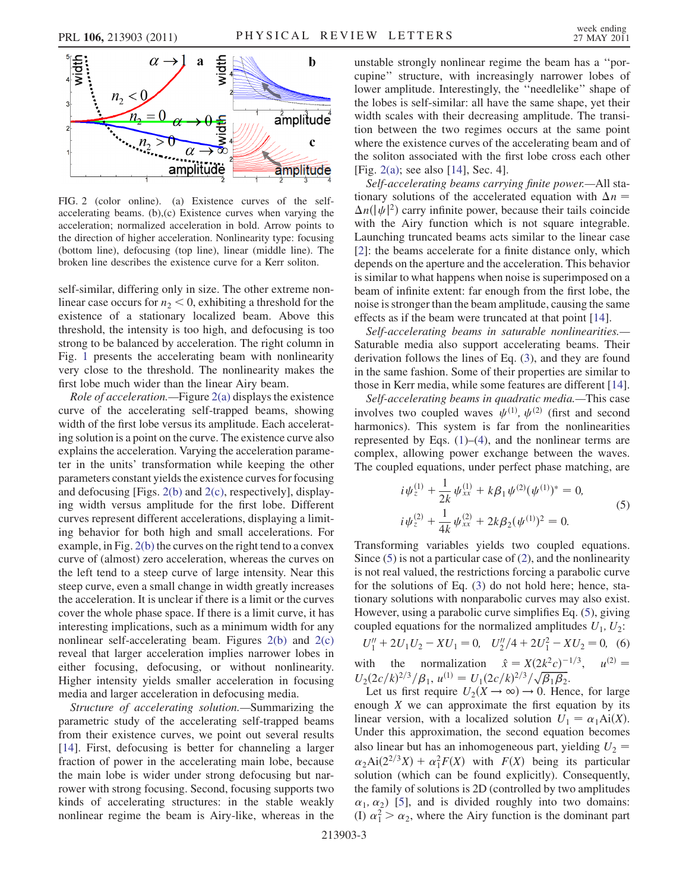

<span id="page-2-0"></span>FIG. 2 (color online). (a) Existence curves of the selfaccelerating beams. (b),(c) Existence curves when varying the acceleration; normalized acceleration in bold. Arrow points to the direction of higher acceleration. Nonlinearity type: focusing (bottom line), defocusing (top line), linear (middle line). The broken line describes the existence curve for a Kerr soliton.

self-similar, differing only in size. The other extreme nonlinear case occurs for  $n_2 < 0$ , exhibiting a threshold for the existence of a stationary localized beam. Above this threshold, the intensity is too high, and defocusing is too strong to be balanced by acceleration. The right column in Fig. [1](#page-1-2) presents the accelerating beam with nonlinearity very close to the threshold. The nonlinearity makes the first lobe much wider than the linear Airy beam.

Role of acceleration.—Figure [2\(a\)](#page-2-0) displays the existence curve of the accelerating self-trapped beams, showing width of the first lobe versus its amplitude. Each accelerating solution is a point on the curve. The existence curve also explains the acceleration. Varying the acceleration parameter in the units' transformation while keeping the other parameters constant yields the existence curves for focusing and defocusing [Figs. [2\(b\)](#page-2-0) and [2\(c\)](#page-2-0), respectively], displaying width versus amplitude for the first lobe. Different curves represent different accelerations, displaying a limiting behavior for both high and small accelerations. For example, in Fig.  $2(b)$  the curves on the right tend to a convex curve of (almost) zero acceleration, whereas the curves on the left tend to a steep curve of large intensity. Near this steep curve, even a small change in width greatly increases the acceleration. It is unclear if there is a limit or the curves cover the whole phase space. If there is a limit curve, it has interesting implications, such as a minimum width for any nonlinear self-accelerating beam. Figures  $2(b)$  and  $2(c)$ reveal that larger acceleration implies narrower lobes in either focusing, defocusing, or without nonlinearity. Higher intensity yields smaller acceleration in focusing media and larger acceleration in defocusing media.

Structure of accelerating solution.—Summarizing the parametric study of the accelerating self-trapped beams from their existence curves, we point out several results [\[14\]](#page-3-13). First, defocusing is better for channeling a larger fraction of power in the accelerating main lobe, because the main lobe is wider under strong defocusing but narrower with strong focusing. Second, focusing supports two kinds of accelerating structures: in the stable weakly nonlinear regime the beam is Airy-like, whereas in the unstable strongly nonlinear regime the beam has a ''porcupine'' structure, with increasingly narrower lobes of lower amplitude. Interestingly, the ''needlelike'' shape of the lobes is self-similar: all have the same shape, yet their width scales with their decreasing amplitude. The transition between the two regimes occurs at the same point where the existence curves of the accelerating beam and of the soliton associated with the first lobe cross each other [Fig. [2\(a\);](#page-2-0) see also [[14](#page-3-13)], Sec. 4].

Self-accelerating beams carrying finite power.—All stationary solutions of the accelerated equation with  $\Delta n$  =  $\Delta n(|\psi|^2)$  carry infinite power, because their tails coincide<br>with the Airy function which is not square integrable with the Airy function which is not square integrable. Launching truncated beams acts similar to the linear case [\[2\]](#page-3-1): the beams accelerate for a finite distance only, which depends on the aperture and the acceleration. This behavior is similar to what happens when noise is superimposed on a beam of infinite extent: far enough from the first lobe, the noise is stronger than the beam amplitude, causing the same effects as if the beam were truncated at that point [\[14\]](#page-3-13).

Self-accelerating beams in saturable nonlinearities.— Saturable media also support accelerating beams. Their derivation follows the lines of Eq. ([3](#page-1-0)), and they are found in the same fashion. Some of their properties are similar to those in Kerr media, while some features are different [[14\]](#page-3-13).

Self-accelerating beams in quadratic media.—This case involves two coupled waves  $\psi^{(1)}$ ,  $\psi^{(2)}$  (first and second harmonics). This system is far from the nonlinearities represented by Eqs.  $(1)$  $(1)$ – $(4)$  $(4)$  $(4)$ , and the nonlinear terms are complex, allowing power exchange between the waves. The coupled equations, under perfect phase matching, are

<span id="page-2-1"></span>
$$
i\psi_z^{(1)} + \frac{1}{2k}\psi_{xx}^{(1)} + k\beta_1\psi^{(2)}(\psi^{(1)})^* = 0,
$$
  
\n
$$
i\psi_z^{(2)} + \frac{1}{4k}\psi_{xx}^{(2)} + 2k\beta_2(\psi^{(1)})^2 = 0.
$$
  
\nTransforming variables yields two coupled equations.

Since ([5](#page-2-1)) is not a particular case of [\(2\)](#page-0-0), and the nonlinearity is not real valued, the restrictions forcing a parabolic curve for the solutions of Eq. [\(3](#page-1-0)) do not hold here; hence, stationary solutions with nonparabolic curves may also exist. However, using a parabolic curve simplifies Eq. ([5\)](#page-2-1), giving coupled equations for the normalized amplitudes  $U_1, U_2$ :

$$
U_1'' + 2U_1U_2 - XU_1 = 0, \quad U_2''/4 + 2U_1^2 - XU_2 = 0,\tag{6}
$$
\nwith the normalization  $\hat{x} = X(2k^2c)^{-1/3}, \quad u^{(2)} = U_2(2c/k)^{2/3}/\beta_1, \quad u^{(1)} = U_1(2c/k)^{2/3}/\sqrt{\beta_1\beta_2}.$ \nLet us first require  $U_1(X \to \infty) \to 0$ . Hence for large

 $U_2(2c/k)$ <br>Let us  $\frac{2/3}{\beta_1}$ ,  $u^{(1)} = U_1(2c/k)$ <br>first require  $U_2(X \rightarrow \infty)$ Let us first require  $U_2(X \to \infty) \to 0$ . Hence, for large<br>ough X we can approximate the first equation by its enough  $X$  we can approximate the first equation by its linear version, with a localized solution  $U_1 = \alpha_1 Ai(X)$ .<br>Under this approximation, the second equation becomes Under this approximation, the second equation becomes also linear but has an inhomogeneous part, yielding  $U_2$  =  $\alpha_2$ Ai $(2^{2/3}X) + \alpha_1^2 F(X)$  with  $F(X)$  being its particular<br>solution (which can be found explicitly). Consequently solution (which can be found explicitly). Consequently, the family of solutions is 2D (controlled by two amplitudes  $\alpha_1, \alpha_2$ ) [\[5\]](#page-3-4), and is divided roughly into two domains:<br>(b)  $\alpha^2 > \alpha$ , where the Airy function is the dominant part (I)  $\alpha_1^2 > \alpha_2$ , where the Airy function is the dominant part